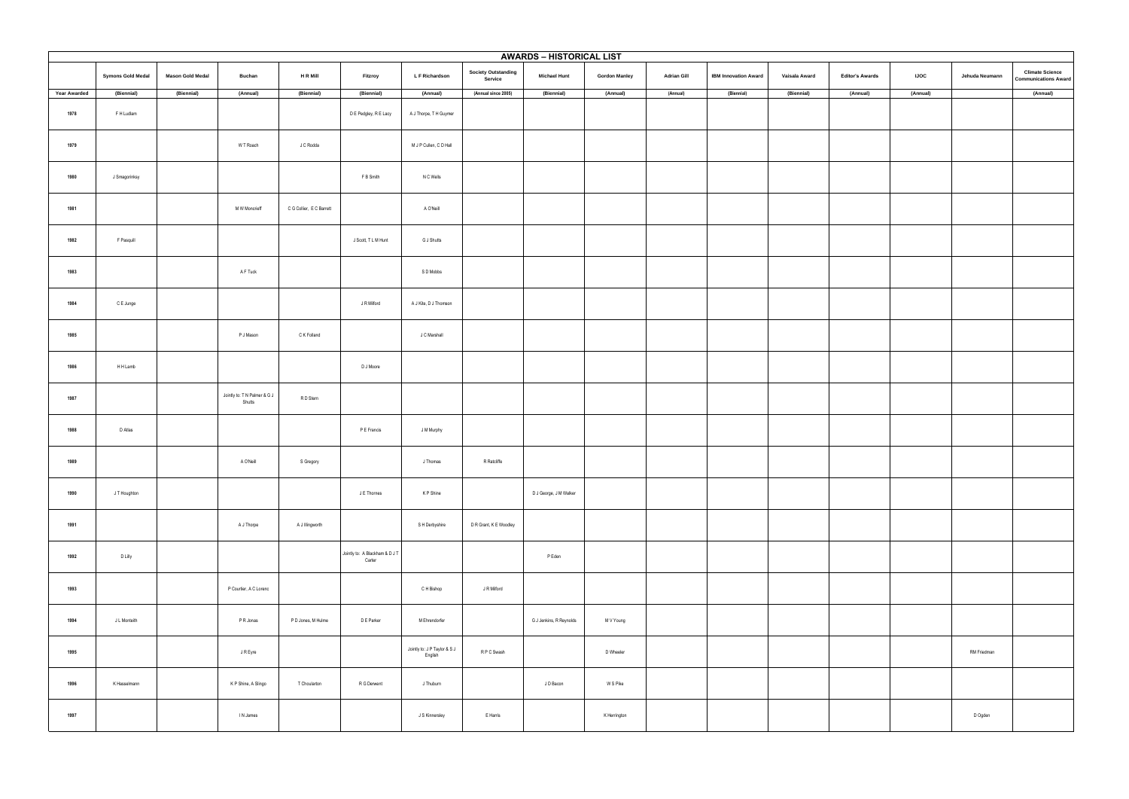| <b>AWARDS - HISTORICAL LIST</b> |                          |                         |                                        |                          |                                          |                                         |                                       |                         |                      |                    |                             |               |                        |             |                |                                                       |
|---------------------------------|--------------------------|-------------------------|----------------------------------------|--------------------------|------------------------------------------|-----------------------------------------|---------------------------------------|-------------------------|----------------------|--------------------|-----------------------------|---------------|------------------------|-------------|----------------|-------------------------------------------------------|
|                                 | <b>Symons Gold Medal</b> | <b>Mason Gold Medal</b> | <b>Buchan</b>                          | <b>HRMIII</b>            | Fitzroy                                  | L F Richardson                          | <b>Society Outstanding</b><br>Service | <b>Michael Hunt</b>     | <b>Gordon Manley</b> | <b>Adrian Gill</b> | <b>IBM Innovation Award</b> | Vaisala Award | <b>Editor's Awards</b> | <b>IJOC</b> | Jehuda Neumann | <b>Climate Science</b><br><b>Communications Award</b> |
| <b>Year Awarded</b>             | (Biennial)               | (Biennial)              | (Annual)                               | (Biennial)               | (Biennial)                               | (Annual)                                | (Annual since 2005)                   | (Biennial)              | (Annual)             | (Annual)           | (Biennial)                  | (Biennial)    | (Annual)               | (Annual)    |                | (Annual)                                              |
| 1978                            | F H Ludlam               |                         |                                        |                          | D E Pedgley, R E Lacy                    | A J Thorpe, T H Guymer                  |                                       |                         |                      |                    |                             |               |                        |             |                |                                                       |
| 1979                            |                          |                         | W T Roach                              | J C Rodda                |                                          | M J P Cullen, C D Hall                  |                                       |                         |                      |                    |                             |               |                        |             |                |                                                       |
| 1980                            | J Smagorinksy            |                         |                                        |                          | F B Smith                                | N C Wells                               |                                       |                         |                      |                    |                             |               |                        |             |                |                                                       |
| 1981                            |                          |                         | M W Moncrieff                          | C G Collier, E C Barrett |                                          | A O'Neill                               |                                       |                         |                      |                    |                             |               |                        |             |                |                                                       |
| 1982                            | F Pasquill               |                         |                                        |                          | J Scott, T L M Hunt                      | G J Shutts                              |                                       |                         |                      |                    |                             |               |                        |             |                |                                                       |
| 1983                            |                          |                         | A F Tuck                               |                          |                                          | S D Mobbs                               |                                       |                         |                      |                    |                             |               |                        |             |                |                                                       |
| 1984                            | C E Junge                |                         |                                        |                          | J R Milford                              | A J Kite, D J Thomson                   |                                       |                         |                      |                    |                             |               |                        |             |                |                                                       |
| 1985                            |                          |                         | P J Mason                              | C K Folland              |                                          | J C Marshall                            |                                       |                         |                      |                    |                             |               |                        |             |                |                                                       |
| 1986                            | H H Lamb                 |                         |                                        |                          | D J Moore                                |                                         |                                       |                         |                      |                    |                             |               |                        |             |                |                                                       |
| 1987                            |                          |                         | Jointly to: T N Palmer & G J<br>Shutts | R D Stern                |                                          |                                         |                                       |                         |                      |                    |                             |               |                        |             |                |                                                       |
| 1988                            | D Atlas                  |                         |                                        |                          | P E Francis                              | J M Murphy                              |                                       |                         |                      |                    |                             |               |                        |             |                |                                                       |
| 1989                            |                          |                         | A O'Neill                              | S Gregory                |                                          | J Thomas                                | R Ratcliffe                           |                         |                      |                    |                             |               |                        |             |                |                                                       |
| 1990                            | J T Houghton             |                         |                                        |                          | J E Thornes                              | K P Shine                               |                                       | D J George, J M Walker  |                      |                    |                             |               |                        |             |                |                                                       |
| 1991                            |                          |                         | A J Thorpe                             | A J Illingworth          |                                          | S H Derbyshire                          | D R Grant, K E Woodley                |                         |                      |                    |                             |               |                        |             |                |                                                       |
| 1992                            | D Lilly                  |                         |                                        |                          | Jointly to: A Blackham & D J T<br>Carter |                                         |                                       | P Eden                  |                      |                    |                             |               |                        |             |                |                                                       |
| 1993                            |                          |                         | P Courtier, A C Lorenc                 |                          |                                          | C H Bishop                              | J R Milford                           |                         |                      |                    |                             |               |                        |             |                |                                                       |
| 1994                            | J L Monteith             |                         | P R Jonas                              | P D Jones, M Hulme       | D E Parker                               | M Ehrendorfer                           |                                       | G J Jenkins, R Reynolds | M V Young            |                    |                             |               |                        |             |                |                                                       |
| 1995                            |                          |                         | J R Eyre                               |                          |                                          | Jointly to: J P Taylor & S J<br>English | R P C Swash                           |                         | D Wheeler            |                    |                             |               |                        |             | RM Friedman    |                                                       |
| 1996                            | K Hasselmann             |                         | K P Shine, A Slingo                    | T Choularton             | R G Derwent                              | J Thuburn                               |                                       | J D Bacon               | W S Pike             |                    |                             |               |                        |             |                |                                                       |
| 1997                            |                          |                         | IN James                               |                          |                                          | J S Kinnersley                          | E Harris                              |                         | K Herrington         |                    |                             |               |                        |             | D Ogden        |                                                       |